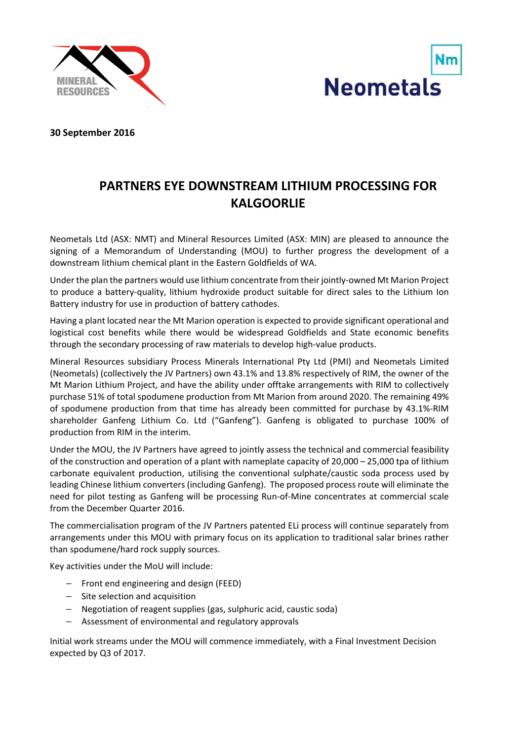



**30 September 2016**

## **PARTNERS EYE DOWNSTREAM LITHIUM PROCESSING FOR KALGOORLIE**

Neometals Ltd (ASX: NMT) and Mineral Resources Limited (ASX: MIN) are pleased to announce the signing of a Memorandum of Understanding (MOU) to further progress the development of a downstream lithium chemical plant in the Eastern Goldfields of WA.

Under the plan the partners would use lithium concentrate from their jointly‐owned Mt Marion Project to produce a battery‐quality, lithium hydroxide product suitable for direct sales to the Lithium Ion Battery industry for use in production of battery cathodes.

Having a plant located near the Mt Marion operation is expected to provide significant operational and logistical cost benefits while there would be widespread Goldfields and State economic benefits through the secondary processing of raw materials to develop high‐value products.

Mineral Resources subsidiary Process Minerals International Pty Ltd (PMI) and Neometals Limited (Neometals) (collectively the JV Partners) own 43.1% and 13.8% respectively of RIM, the owner of the Mt Marion Lithium Project, and have the ability under offtake arrangements with RIM to collectively purchase 51% of total spodumene production from Mt Marion from around 2020. The remaining 49% of spodumene production from that time has already been committed for purchase by 43.1%‐RIM shareholder Ganfeng Lithium Co. Ltd ("Ganfeng"). Ganfeng is obligated to purchase 100% of production from RIM in the interim.

Under the MOU, the JV Partners have agreed to jointly assess the technical and commercial feasibility of the construction and operation of a plant with nameplate capacity of 20,000 – 25,000 tpa of lithium carbonate equivalent production, utilising the conventional sulphate/caustic soda process used by leading Chinese lithium converters (including Ganfeng). The proposed process route will eliminate the need for pilot testing as Ganfeng will be processing Run‐of‐Mine concentrates at commercial scale from the December Quarter 2016.

The commercialisation program of the JV Partners patented ELi process will continue separately from arrangements under this MOU with primary focus on its application to traditional salar brines rather than spodumene/hard rock supply sources.

Key activities under the MoU will include:

- Front end engineering and design (FEED)
- Site selection and acquisition
- Negotiation of reagent supplies (gas, sulphuric acid, caustic soda)
- Assessment of environmental and regulatory approvals

Initial work streams under the MOU will commence immediately, with a Final Investment Decision expected by Q3 of 2017.